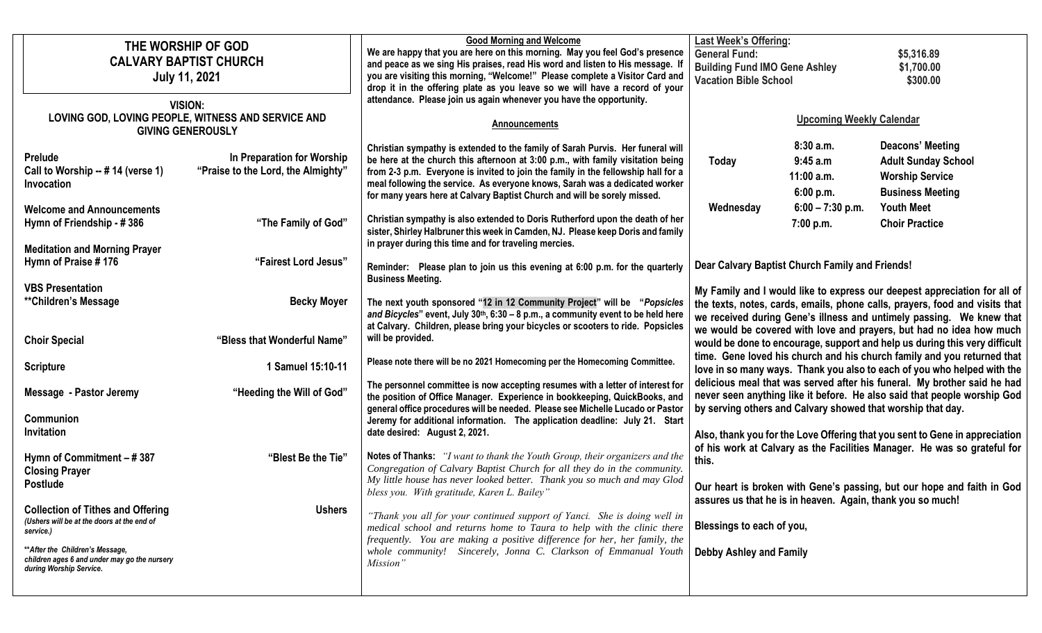| THE WORSHIP OF GOD<br><b>CALVARY BAPTIST CHURCH</b><br><b>July 11, 2021</b><br><b>VISION:</b>               |                                                                                                       |                                                                                                                                                                               | <b>Good Morning and Welcome</b><br>We are happy that you are here on this morning. May you feel God's presence<br>and peace as we sing His praises, read His word and listen to His message.<br>you are visiting this morning, "Welcome!" Please complete a Visitor Card and<br>drop it in the offering plate as you leave so we will have a record of your<br>attendance. Please join us again whenever you have the opportunity. | <b>Last Week's Offering:</b><br><b>General Fund:</b><br>\$5,316.89<br><b>Building Fund IMO Gene Ashley</b><br>\$1,700.00<br><b>Vacation Bible School</b><br>\$300.00                                                                                                                                                                                                                    |                                                                                                                                                                                                                                  |                                                                                                     |
|-------------------------------------------------------------------------------------------------------------|-------------------------------------------------------------------------------------------------------|-------------------------------------------------------------------------------------------------------------------------------------------------------------------------------|------------------------------------------------------------------------------------------------------------------------------------------------------------------------------------------------------------------------------------------------------------------------------------------------------------------------------------------------------------------------------------------------------------------------------------|-----------------------------------------------------------------------------------------------------------------------------------------------------------------------------------------------------------------------------------------------------------------------------------------------------------------------------------------------------------------------------------------|----------------------------------------------------------------------------------------------------------------------------------------------------------------------------------------------------------------------------------|-----------------------------------------------------------------------------------------------------|
| LOVING GOD, LOVING PEOPLE, WITNESS AND SERVICE AND<br><b>GIVING GENEROUSLY</b>                              |                                                                                                       |                                                                                                                                                                               | Announcements                                                                                                                                                                                                                                                                                                                                                                                                                      | <b>Upcoming Weekly Calendar</b>                                                                                                                                                                                                                                                                                                                                                         |                                                                                                                                                                                                                                  |                                                                                                     |
|                                                                                                             | <b>Prelude</b><br>Call to Worship -- # 14 (verse 1)<br>Invocation                                     | In Preparation for Worship<br>"Praise to the Lord, the Almighty"                                                                                                              | Christian sympathy is extended to the family of Sarah Purvis. Her funeral will<br>be here at the church this afternoon at 3:00 p.m., with family visitation being<br>from 2-3 p.m. Everyone is invited to join the family in the fellowship hall for a<br>meal following the service. As everyone knows, Sarah was a dedicated worker<br>for many years here at Calvary Baptist Church and will be sorely missed.                  | <b>Today</b>                                                                                                                                                                                                                                                                                                                                                                            | 8:30a.m.<br>9:45a.m<br>$11:00$ a.m.<br>6:00 p.m.                                                                                                                                                                                 | Deacons' Meeting<br><b>Adult Sunday School</b><br><b>Worship Service</b><br><b>Business Meeting</b> |
|                                                                                                             | <b>Welcome and Announcements</b><br>Hymn of Friendship - #386<br><b>Meditation and Morning Prayer</b> | "The Family of God"                                                                                                                                                           | Christian sympathy is also extended to Doris Rutherford upon the death of her<br>sister, Shirley Halbruner this week in Camden, NJ. Please keep Doris and family<br>in prayer during this time and for traveling mercies.                                                                                                                                                                                                          | Wednesday                                                                                                                                                                                                                                                                                                                                                                               | $6:00 - 7:30$ p.m.<br>7:00 p.m.                                                                                                                                                                                                  | <b>Youth Meet</b><br><b>Choir Practice</b>                                                          |
|                                                                                                             | Hymn of Praise #176                                                                                   | "Fairest Lord Jesus"                                                                                                                                                          | Reminder: Please plan to join us this evening at 6:00 p.m. for the quarterly<br><b>Business Meeting.</b>                                                                                                                                                                                                                                                                                                                           | Dear Calvary Baptist Church Family and Friends!                                                                                                                                                                                                                                                                                                                                         |                                                                                                                                                                                                                                  |                                                                                                     |
|                                                                                                             | <b>VBS Presentation</b><br><i><b>**Children's Message</b></i>                                         | <b>Becky Moyer</b>                                                                                                                                                            | The next youth sponsored "12 in 12 Community Project" will be "Popsicles<br>and Bicycles" event, July 30th, 6:30 - 8 p.m., a community event to be held here<br>at Calvary. Children, please bring your bicycles or scooters to ride. Popsicles                                                                                                                                                                                    |                                                                                                                                                                                                                                                                                                                                                                                         | My Family and I would like to express our deepest appreciation for all of<br>the texts, notes, cards, emails, phone calls, prayers, food and visits that<br>we received during Gene's illness and untimely passing. We knew that |                                                                                                     |
|                                                                                                             | <b>Choir Special</b>                                                                                  | "Bless that Wonderful Name"                                                                                                                                                   | will be provided.                                                                                                                                                                                                                                                                                                                                                                                                                  | we would be covered with love and prayers, but had no idea how much<br>would be done to encourage, support and help us during this very difficult                                                                                                                                                                                                                                       |                                                                                                                                                                                                                                  |                                                                                                     |
|                                                                                                             | <b>Scripture</b>                                                                                      | 1 Samuel 15:10-11                                                                                                                                                             | Please note there will be no 2021 Homecoming per the Homecoming Committee.                                                                                                                                                                                                                                                                                                                                                         | time. Gene loved his church and his church family and you returned that<br>love in so many ways. Thank you also to each of you who helped with the                                                                                                                                                                                                                                      |                                                                                                                                                                                                                                  |                                                                                                     |
| "Heeding the Will of God"<br><b>Message - Pastor Jeremy</b><br>Communion<br>Invitation                      |                                                                                                       |                                                                                                                                                                               | The personnel committee is now accepting resumes with a letter of interest for<br>the position of Office Manager. Experience in bookkeeping, QuickBooks, and<br>general office procedures will be needed. Please see Michelle Lucado or Pastor<br>Jeremy for additional information. The application deadline: July 21. Start<br>date desired: August 2, 2021.                                                                     | delicious meal that was served after his funeral. My brother said he had<br>never seen anything like it before. He also said that people worship God<br>by serving others and Calvary showed that worship that day.<br>Also, thank you for the Love Offering that you sent to Gene in appreciation<br>of his work at Calvary as the Facilities Manager. He was so grateful for<br>this. |                                                                                                                                                                                                                                  |                                                                                                     |
|                                                                                                             |                                                                                                       |                                                                                                                                                                               |                                                                                                                                                                                                                                                                                                                                                                                                                                    |                                                                                                                                                                                                                                                                                                                                                                                         |                                                                                                                                                                                                                                  |                                                                                                     |
|                                                                                                             | Hymn of Commitment - #387<br><b>Closing Prayer</b>                                                    | Notes of Thanks: "I want to thank the Youth Group, their organizers and the<br>"Blest Be the Tie"<br>Congregation of Calvary Baptist Church for all they do in the community. |                                                                                                                                                                                                                                                                                                                                                                                                                                    |                                                                                                                                                                                                                                                                                                                                                                                         |                                                                                                                                                                                                                                  |                                                                                                     |
|                                                                                                             | <b>Postlude</b>                                                                                       |                                                                                                                                                                               | My little house has never looked better. Thank you so much and may Glod<br>bless you. With gratitude, Karen L. Bailey"                                                                                                                                                                                                                                                                                                             | Our heart is broken with Gene's passing, but our hope and faith in God<br>assures us that he is in heaven. Again, thank you so much!                                                                                                                                                                                                                                                    |                                                                                                                                                                                                                                  |                                                                                                     |
|                                                                                                             | <b>Collection of Tithes and Offering</b><br>(Ushers will be at the doors at the end of<br>service.)   | <b>Ushers</b>                                                                                                                                                                 | "Thank you all for your continued support of Yanci. She is doing well in<br>medical school and returns home to Taura to help with the clinic there                                                                                                                                                                                                                                                                                 | Blessings to each of you,                                                                                                                                                                                                                                                                                                                                                               |                                                                                                                                                                                                                                  |                                                                                                     |
| ** After the Children's Message,<br>children ages 6 and under may go the nursery<br>during Worship Service. |                                                                                                       |                                                                                                                                                                               | frequently. You are making a positive difference for her, her family, the<br>whole community! Sincerely, Jonna C. Clarkson of Emmanual Youth   Debby Ashley and Family<br>Mission"                                                                                                                                                                                                                                                 |                                                                                                                                                                                                                                                                                                                                                                                         |                                                                                                                                                                                                                                  |                                                                                                     |
|                                                                                                             |                                                                                                       |                                                                                                                                                                               |                                                                                                                                                                                                                                                                                                                                                                                                                                    |                                                                                                                                                                                                                                                                                                                                                                                         |                                                                                                                                                                                                                                  |                                                                                                     |